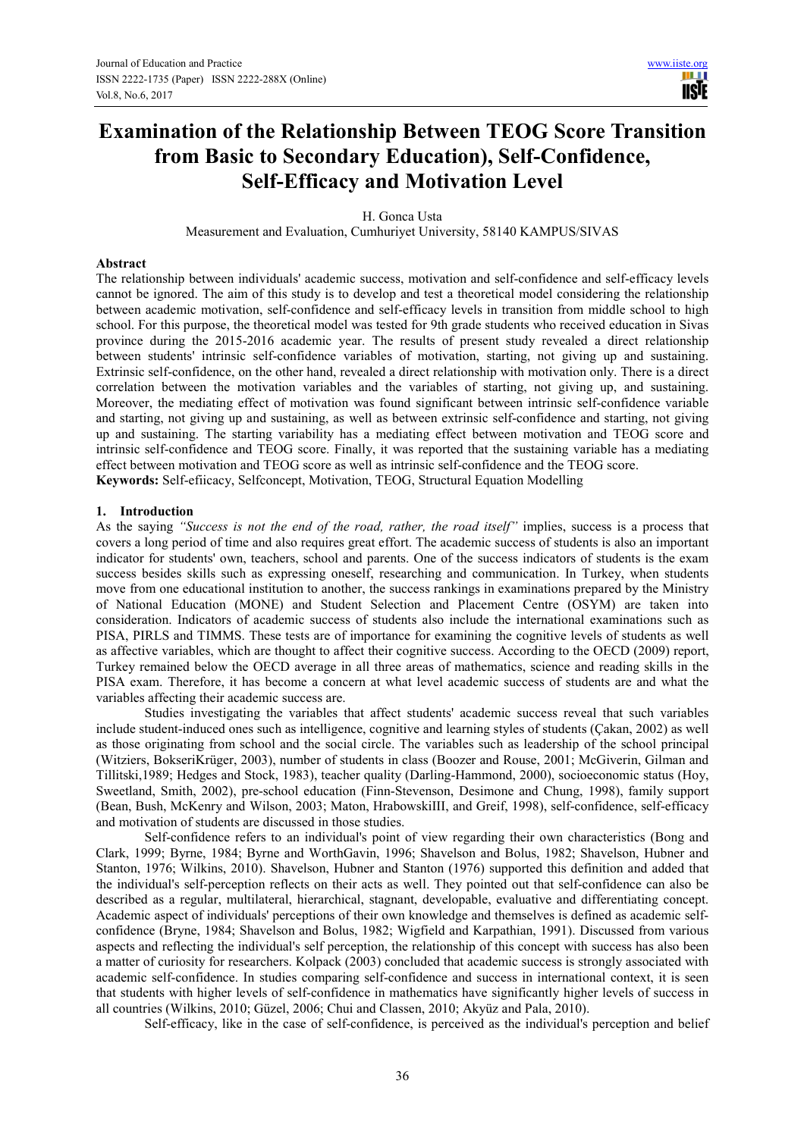Ш **USE** 

# **Examination of the Relationship Between TEOG Score Transition from Basic to Secondary Education), Self-Confidence, Self-Efficacy and Motivation Level**

H. Gonca Usta

Measurement and Evaluation, Cumhuriyet University, 58140 KAMPUS/SIVAS

# **Abstract**

The relationship between individuals' academic success, motivation and self-confidence and self-efficacy levels cannot be ignored. The aim of this study is to develop and test a theoretical model considering the relationship between academic motivation, self-confidence and self-efficacy levels in transition from middle school to high school. For this purpose, the theoretical model was tested for 9th grade students who received education in Sivas province during the 2015-2016 academic year. The results of present study revealed a direct relationship between students' intrinsic self-confidence variables of motivation, starting, not giving up and sustaining. Extrinsic self-confidence, on the other hand, revealed a direct relationship with motivation only. There is a direct correlation between the motivation variables and the variables of starting, not giving up, and sustaining. Moreover, the mediating effect of motivation was found significant between intrinsic self-confidence variable and starting, not giving up and sustaining, as well as between extrinsic self-confidence and starting, not giving up and sustaining. The starting variability has a mediating effect between motivation and TEOG score and intrinsic self-confidence and TEOG score. Finally, it was reported that the sustaining variable has a mediating effect between motivation and TEOG score as well as intrinsic self-confidence and the TEOG score. **Keywords:** Self-efiicacy, Selfconcept, Motivation, TEOG, Structural Equation Modelling

## **1. Introduction**

As the saying *"Success is not the end of the road, rather, the road itself"* implies, success is a process that covers a long period of time and also requires great effort. The academic success of students is also an important indicator for students' own, teachers, school and parents. One of the success indicators of students is the exam success besides skills such as expressing oneself, researching and communication. In Turkey, when students move from one educational institution to another, the success rankings in examinations prepared by the Ministry of National Education (MONE) and Student Selection and Placement Centre (OSYM) are taken into consideration. Indicators of academic success of students also include the international examinations such as PISA, PIRLS and TIMMS. These tests are of importance for examining the cognitive levels of students as well as affective variables, which are thought to affect their cognitive success. According to the OECD (2009) report, Turkey remained below the OECD average in all three areas of mathematics, science and reading skills in the PISA exam. Therefore, it has become a concern at what level academic success of students are and what the variables affecting their academic success are.

Studies investigating the variables that affect students' academic success reveal that such variables include student-induced ones such as intelligence, cognitive and learning styles of students (Çakan, 2002) as well as those originating from school and the social circle. The variables such as leadership of the school principal (Witziers, BokseriKrüger, 2003), number of students in class (Boozer and Rouse, 2001; McGiverin, Gilman and Tillitski,1989; Hedges and Stock, 1983), teacher quality (Darling-Hammond, 2000), socioeconomic status (Hoy, Sweetland, Smith, 2002), pre-school education (Finn-Stevenson, Desimone and Chung, 1998), family support (Bean, Bush, McKenry and Wilson, 2003; Maton, HrabowskiIII, and Greif, 1998), self-confidence, self-efficacy and motivation of students are discussed in those studies.

Self-confidence refers to an individual's point of view regarding their own characteristics (Bong and Clark, 1999; Byrne, 1984; Byrne and WorthGavin, 1996; Shavelson and Bolus, 1982; Shavelson, Hubner and Stanton, 1976; Wilkins, 2010). Shavelson, Hubner and Stanton (1976) supported this definition and added that the individual's self-perception reflects on their acts as well. They pointed out that self-confidence can also be described as a regular, multilateral, hierarchical, stagnant, developable, evaluative and differentiating concept. Academic aspect of individuals' perceptions of their own knowledge and themselves is defined as academic selfconfidence (Bryne, 1984; Shavelson and Bolus, 1982; Wigfield and Karpathian, 1991). Discussed from various aspects and reflecting the individual's self perception, the relationship of this concept with success has also been a matter of curiosity for researchers. Kolpack (2003) concluded that academic success is strongly associated with academic self-confidence. In studies comparing self-confidence and success in international context, it is seen that students with higher levels of self-confidence in mathematics have significantly higher levels of success in all countries (Wilkins, 2010; Güzel, 2006; Chui and Classen, 2010; Akyüz and Pala, 2010).

Self-efficacy, like in the case of self-confidence, is perceived as the individual's perception and belief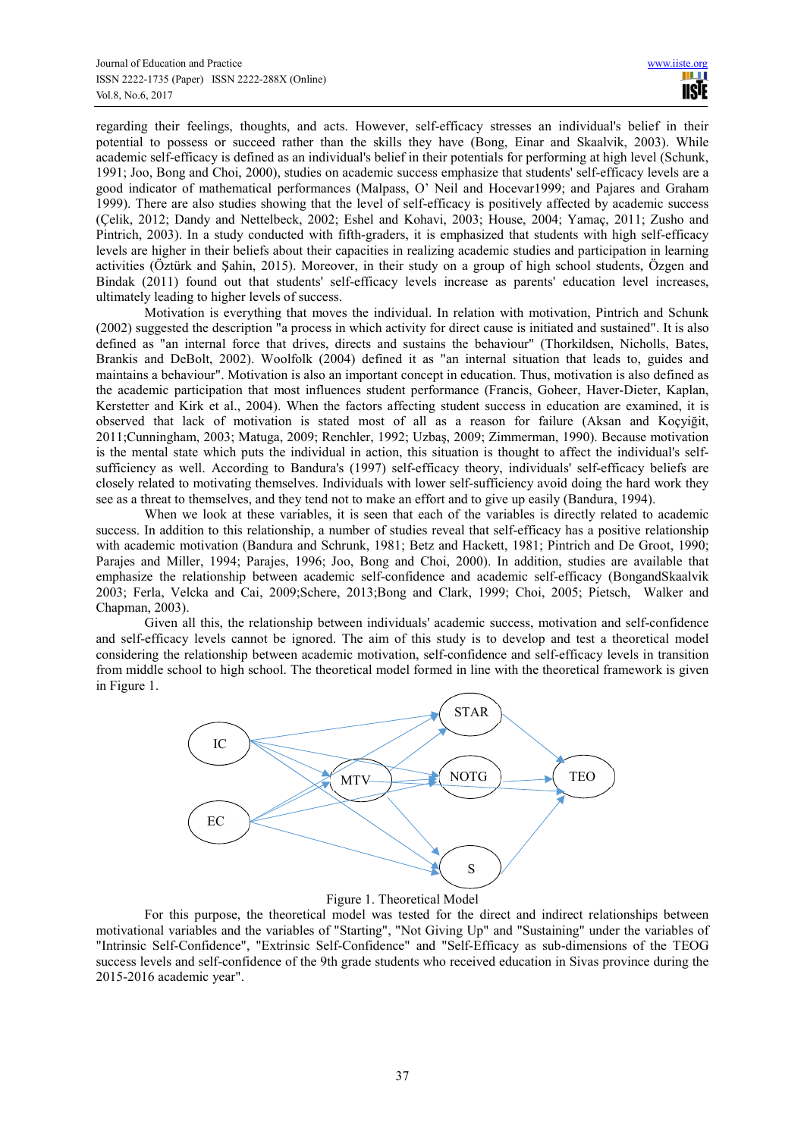regarding their feelings, thoughts, and acts. However, self-efficacy stresses an individual's belief in their potential to possess or succeed rather than the skills they have (Bong, Einar and Skaalvik, 2003). While academic self-efficacy is defined as an individual's belief in their potentials for performing at high level (Schunk, 1991; Joo, Bong and Choi, 2000), studies on academic success emphasize that students' self-efficacy levels are a good indicator of mathematical performances (Malpass, O' Neil and Hocevar1999; and Pajares and Graham 1999). There are also studies showing that the level of self-efficacy is positively affected by academic success (Çelik, 2012; Dandy and Nettelbeck, 2002; Eshel and Kohavi, 2003; House, 2004; Yamaç, 2011; Zusho and Pintrich, 2003). In a study conducted with fifth-graders, it is emphasized that students with high self-efficacy levels are higher in their beliefs about their capacities in realizing academic studies and participation in learning activities (Öztürk and Şahin, 2015). Moreover, in their study on a group of high school students, Özgen and Bindak (2011) found out that students' self-efficacy levels increase as parents' education level increases, ultimately leading to higher levels of success.

Motivation is everything that moves the individual. In relation with motivation, Pintrich and Schunk (2002) suggested the description "a process in which activity for direct cause is initiated and sustained". It is also defined as "an internal force that drives, directs and sustains the behaviour" (Thorkildsen, Nicholls, Bates, Brankis and DeBolt, 2002). Woolfolk (2004) defined it as "an internal situation that leads to, guides and maintains a behaviour". Motivation is also an important concept in education. Thus, motivation is also defined as the academic participation that most influences student performance (Francis, Goheer, Haver-Dieter, Kaplan, Kerstetter and Kirk et al., 2004). When the factors affecting student success in education are examined, it is observed that lack of motivation is stated most of all as a reason for failure (Aksan and Koçyiğit, 2011;Cunningham, 2003; Matuga, 2009; Renchler, 1992; Uzbaş, 2009; Zimmerman, 1990). Because motivation is the mental state which puts the individual in action, this situation is thought to affect the individual's selfsufficiency as well. According to Bandura's (1997) self-efficacy theory, individuals' self-efficacy beliefs are closely related to motivating themselves. Individuals with lower self-sufficiency avoid doing the hard work they see as a threat to themselves, and they tend not to make an effort and to give up easily (Bandura, 1994).

When we look at these variables, it is seen that each of the variables is directly related to academic success. In addition to this relationship, a number of studies reveal that self-efficacy has a positive relationship with academic motivation (Bandura and Schrunk, 1981; Betz and Hackett, 1981; Pintrich and De Groot, 1990; Parajes and Miller, 1994; Parajes, 1996; Joo, Bong and Choi, 2000). In addition, studies are available that emphasize the relationship between academic self-confidence and academic self-efficacy (BongandSkaalvik 2003; Ferla, Velcka and Cai, 2009;Schere, 2013;Bong and Clark, 1999; Choi, 2005; Pietsch, Walker and Chapman, 2003).

Given all this, the relationship between individuals' academic success, motivation and self-confidence and self-efficacy levels cannot be ignored. The aim of this study is to develop and test a theoretical model considering the relationship between academic motivation, self-confidence and self-efficacy levels in transition from middle school to high school. The theoretical model formed in line with the theoretical framework is given in Figure 1.



# Figure 1. Theoretical Model

For this purpose, the theoretical model was tested for the direct and indirect relationships between motivational variables and the variables of "Starting", "Not Giving Up" and "Sustaining" under the variables of "Intrinsic Self-Confidence", "Extrinsic Self-Confidence" and "Self-Efficacy as sub-dimensions of the TEOG success levels and self-confidence of the 9th grade students who received education in Sivas province during the 2015-2016 academic year".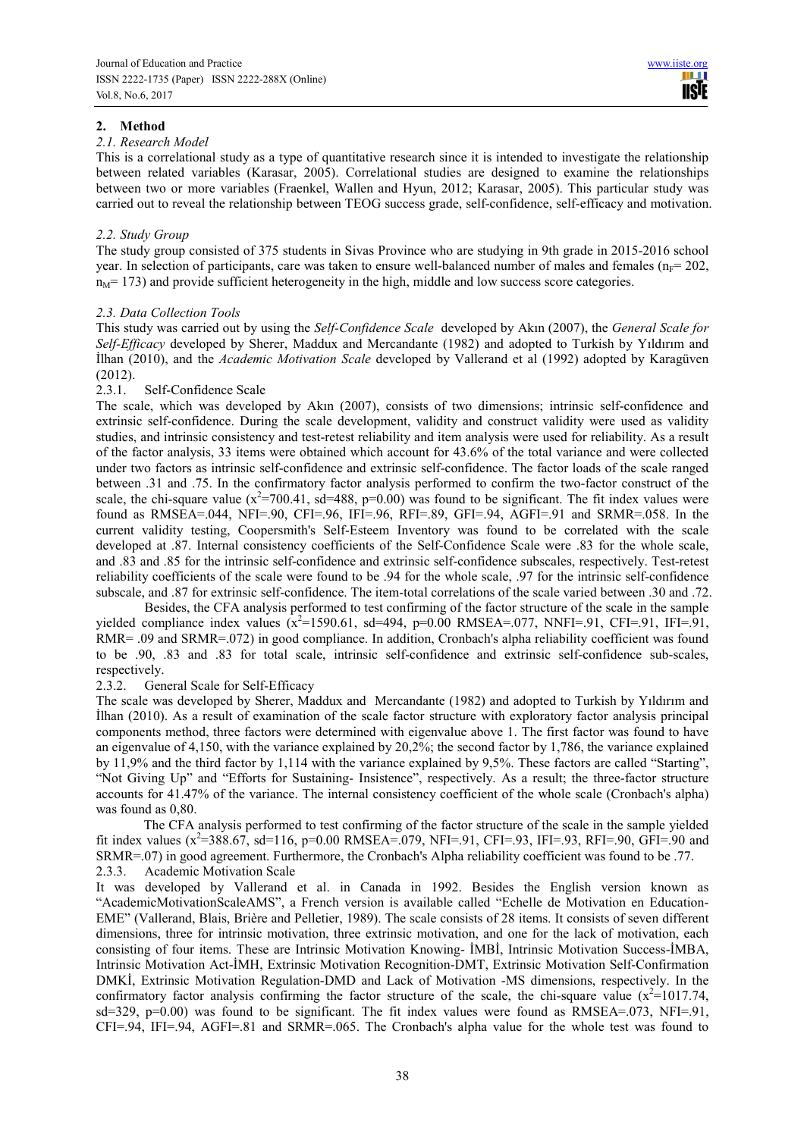# **2. Method**

#### *2.1. Research Model*

This is a correlational study as a type of quantitative research since it is intended to investigate the relationship between related variables (Karasar, 2005). Correlational studies are designed to examine the relationships between two or more variables (Fraenkel, Wallen and Hyun, 2012; Karasar, 2005). This particular study was carried out to reveal the relationship between TEOG success grade, self-confidence, self-efficacy and motivation.

# *2.2. Study Group*

The study group consisted of 375 students in Sivas Province who are studying in 9th grade in 2015-2016 school year. In selection of participants, care was taken to ensure well-balanced number of males and females ( $n_F = 202$ ,  $n_M$  = 173) and provide sufficient heterogeneity in the high, middle and low success score categories.

# *2.3. Data Collection Tools*

This study was carried out by using the *Self-Confidence Scale* developed by Akın (2007), the *General Scale for Self-Efficacy* developed by Sherer, Maddux and Mercandante (1982) and adopted to Turkish by Yıldırım and İlhan (2010), and the *Academic Motivation Scale* developed by Vallerand et al (1992) adopted by Karagüven (2012).

# 2.3.1. Self-Confidence Scale

The scale, which was developed by Akın (2007), consists of two dimensions; intrinsic self-confidence and extrinsic self-confidence. During the scale development, validity and construct validity were used as validity studies, and intrinsic consistency and test-retest reliability and item analysis were used for reliability. As a result of the factor analysis, 33 items were obtained which account for 43.6% of the total variance and were collected under two factors as intrinsic self-confidence and extrinsic self-confidence. The factor loads of the scale ranged between .31 and .75. In the confirmatory factor analysis performed to confirm the two-factor construct of the scale, the chi-square value ( $x^2$ =700.41, sd=488, p=0.00) was found to be significant. The fit index values were found as  $RMSEA = .044$ ,  $NFI = .90$ ,  $CFI = .96$ ,  $IFI = .96$ ,  $RFI = .89$ ,  $GFI = .94$ ,  $AGFI = .91$  and  $SRMR = .058$ . In the current validity testing, Coopersmith's Self-Esteem Inventory was found to be correlated with the scale developed at .87. Internal consistency coefficients of the Self-Confidence Scale were .83 for the whole scale, and .83 and .85 for the intrinsic self-confidence and extrinsic self-confidence subscales, respectively. Test-retest reliability coefficients of the scale were found to be .94 for the whole scale, .97 for the intrinsic self-confidence subscale, and .87 for extrinsic self-confidence. The item-total correlations of the scale varied between .30 and .72.

 Besides, the CFA analysis performed to test confirming of the factor structure of the scale in the sample yielded compliance index values  $(x^2=1590.61, sd=494, p=0.00 RMSEA=.077, NNFI=.91, CFI=.91, IFI=.91,$ RMR= .09 and SRMR=.072) in good compliance. In addition, Cronbach's alpha reliability coefficient was found to be .90, .83 and .83 for total scale, intrinsic self-confidence and extrinsic self-confidence sub-scales, respectively.

## 2.3.2. General Scale for Self-Efficacy

The scale was developed by Sherer, Maddux and Mercandante (1982) and adopted to Turkish by Yıldırım and İlhan (2010). As a result of examination of the scale factor structure with exploratory factor analysis principal components method, three factors were determined with eigenvalue above 1. The first factor was found to have an eigenvalue of 4,150, with the variance explained by 20,2%; the second factor by 1,786, the variance explained by 11,9% and the third factor by 1,114 with the variance explained by 9,5%. These factors are called "Starting", "Not Giving Up" and "Efforts for Sustaining- Insistence", respectively. As a result; the three-factor structure accounts for 41.47% of the variance. The internal consistency coefficient of the whole scale (Cronbach's alpha) was found as 0,80.

The CFA analysis performed to test confirming of the factor structure of the scale in the sample yielded fit index values  $(x^2=388.67, sd=116, p=0.00 \text{ RMSEA} = .079, NFI=.91, CFI=.93, IFI=.93, RFI=.90, GFI=.90 and F=0.00 K.000 K.000 K.0000 K.0000 K.0000 K.0000 K.0000 K.0000 K.0000 K.0000 K.0000 K.0000 K.0000 K.0000 K.0000 K.0000 K.0000 K.0000 K.0000 K.0000 K.0000 K.0000$ SRMR=.07) in good agreement. Furthermore, the Cronbach's Alpha reliability coefficient was found to be .77. 2.3.3. Academic Motivation Scale

It was developed by Vallerand et al. in Canada in 1992. Besides the English version known as "AcademicMotivationScaleAMS", a French version is available called "Echelle de Motivation en Education-EME" (Vallerand, Blais, Brière and Pelletier, 1989). The scale consists of 28 items. It consists of seven different dimensions, three for intrinsic motivation, three extrinsic motivation, and one for the lack of motivation, each consisting of four items. These are Intrinsic Motivation Knowing- İMBİ, Intrinsic Motivation Success-İMBA, Intrinsic Motivation Act-İMH, Extrinsic Motivation Recognition-DMT, Extrinsic Motivation Self-Confirmation DMKİ, Extrinsic Motivation Regulation-DMD and Lack of Motivation -MS dimensions, respectively. In the confirmatory factor analysis confirming the factor structure of the scale, the chi-square value  $(x^2=1017.74,$  $sd=329$ ,  $p=0.00$ ) was found to be significant. The fit index values were found as RMSEA=.073, NFI=.91, CFI=.94, IFI=.94, AGFI=.81 and SRMR=.065. The Cronbach's alpha value for the whole test was found to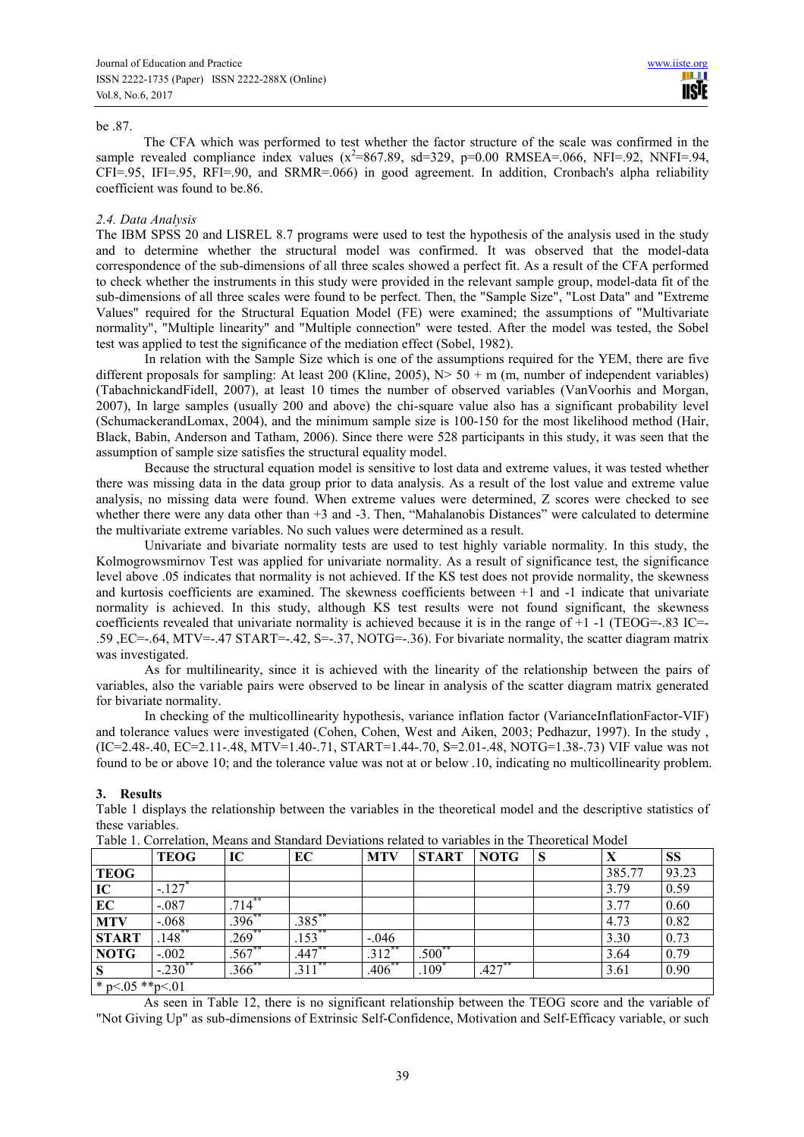#### be .87.

The CFA which was performed to test whether the factor structure of the scale was confirmed in the sample revealed compliance index values  $(x^2=867.89, sd=329, p=0.00 RMSEA=.066, NFI=.92, NNFI=.94,$ CFI=.95, IFI=.95, RFI=.90, and SRMR=.066) in good agreement. In addition, Cronbach's alpha reliability coefficient was found to be.86.

## *2.4. Data Analysis*

The IBM SPSS 20 and LISREL 8.7 programs were used to test the hypothesis of the analysis used in the study and to determine whether the structural model was confirmed. It was observed that the model-data correspondence of the sub-dimensions of all three scales showed a perfect fit. As a result of the CFA performed to check whether the instruments in this study were provided in the relevant sample group, model-data fit of the sub-dimensions of all three scales were found to be perfect. Then, the "Sample Size", "Lost Data" and "Extreme Values" required for the Structural Equation Model (FE) were examined; the assumptions of "Multivariate normality", "Multiple linearity" and "Multiple connection" were tested. After the model was tested, the Sobel test was applied to test the significance of the mediation effect (Sobel, 1982).

In relation with the Sample Size which is one of the assumptions required for the YEM, there are five different proposals for sampling: At least 200 (Kline, 2005),  $N > 50 + m$  (m, number of independent variables) (TabachnickandFidell, 2007), at least 10 times the number of observed variables (VanVoorhis and Morgan, 2007), In large samples (usually 200 and above) the chi-square value also has a significant probability level (SchumackerandLomax, 2004), and the minimum sample size is 100-150 for the most likelihood method (Hair, Black, Babin, Anderson and Tatham, 2006). Since there were 528 participants in this study, it was seen that the assumption of sample size satisfies the structural equality model.

Because the structural equation model is sensitive to lost data and extreme values, it was tested whether there was missing data in the data group prior to data analysis. As a result of the lost value and extreme value analysis, no missing data were found. When extreme values were determined, Z scores were checked to see whether there were any data other than +3 and -3. Then, "Mahalanobis Distances" were calculated to determine the multivariate extreme variables. No such values were determined as a result.

Univariate and bivariate normality tests are used to test highly variable normality. In this study, the Kolmogrowsmirnov Test was applied for univariate normality. As a result of significance test, the significance level above .05 indicates that normality is not achieved. If the KS test does not provide normality, the skewness and kurtosis coefficients are examined. The skewness coefficients between +1 and -1 indicate that univariate normality is achieved. In this study, although KS test results were not found significant, the skewness coefficients revealed that univariate normality is achieved because it is in the range of +1 -1 (TEOG=-.83 IC=-.59 ,EC=-.64, MTV=-.47 START=-.42, S=-.37, NOTG=-.36). For bivariate normality, the scatter diagram matrix was investigated.

As for multilinearity, since it is achieved with the linearity of the relationship between the pairs of variables, also the variable pairs were observed to be linear in analysis of the scatter diagram matrix generated for bivariate normality.

In checking of the multicollinearity hypothesis, variance inflation factor (VarianceInflationFactor-VIF) and tolerance values were investigated (Cohen, Cohen, West and Aiken, 2003; Pedhazur, 1997). In the study , (IC=2.48-.40, EC=2.11-.48, MTV=1.40-.71, START=1.44-.70, S=2.01-.48, NOTG=1.38-.73) VIF value was not found to be or above 10; and the tolerance value was not at or below .10, indicating no multicollinearity problem.

## **3. Results**

Table 1 displays the relationship between the variables in the theoretical model and the descriptive statistics of these variables.

|                     | <b>TEOG</b> | IC          | EC                     | <b>MTV</b>          | <b>START</b>         | <b>NOTG</b> | S | X      | <b>SS</b> |
|---------------------|-------------|-------------|------------------------|---------------------|----------------------|-------------|---|--------|-----------|
| <b>TEOG</b>         |             |             |                        |                     |                      |             |   | 385.77 | 93.23     |
| IC                  | $-.127$     |             |                        |                     |                      |             |   | 3.79   | 0.59      |
| EC                  | $-.087$     | 714         |                        |                     |                      |             |   | 3.77   | 0.60      |
| <b>MTV</b>          | $-.068$     | $.396$ **   | $.385$ **              |                     |                      |             |   | 4.73   | 0.82      |
| <b>START</b>        | $148$ **    | $269*$      | $\left[53\right]$      | $-.046$             |                      |             |   | 3.30   | 0.73      |
| <b>NOTG</b>         | $-.002$     | $.567^{**}$ | .447*'                 | $.312$ <sup>*</sup> | $.500$ <sup>**</sup> |             |   | 3.64   | 0.79      |
| S                   | $-230^{**}$ | $.366^{**}$ | $\overline{.311}^{**}$ | $.406*$             | .109 $^{\degree}$    | .427        |   | 3.61   | 0.90      |
| * p<.05 ** p $< 01$ |             |             |                        |                     |                      |             |   |        |           |

Table 1. Correlation, Means and Standard Deviations related to variables in the Theoretical Model

As seen in Table 12, there is no significant relationship between the TEOG score and the variable of "Not Giving Up" as sub-dimensions of Extrinsic Self-Confidence, Motivation and Self-Efficacy variable, or such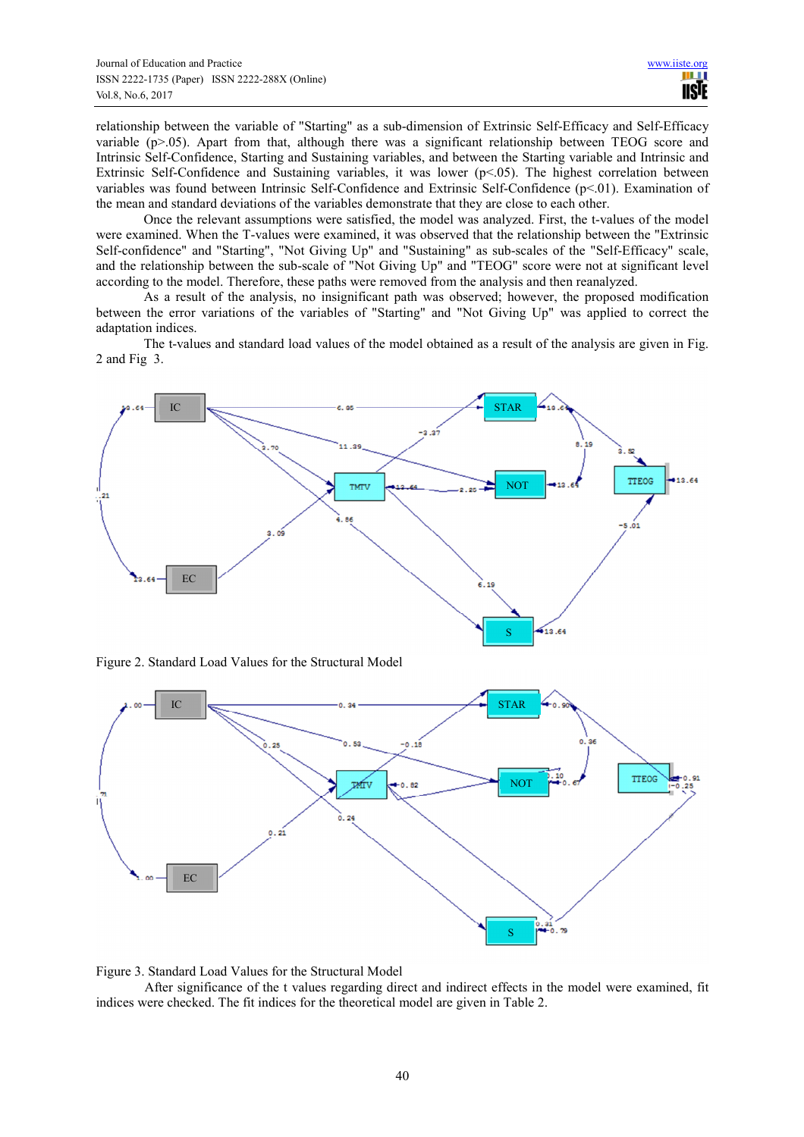relationship between the variable of "Starting" as a sub-dimension of Extrinsic Self-Efficacy and Self-Efficacy variable (p>.05). Apart from that, although there was a significant relationship between TEOG score and Intrinsic Self-Confidence, Starting and Sustaining variables, and between the Starting variable and Intrinsic and Extrinsic Self-Confidence and Sustaining variables, it was lower (p<.05). The highest correlation between variables was found between Intrinsic Self-Confidence and Extrinsic Self-Confidence (p<.01). Examination of the mean and standard deviations of the variables demonstrate that they are close to each other.

Once the relevant assumptions were satisfied, the model was analyzed. First, the t-values of the model were examined. When the T-values were examined, it was observed that the relationship between the "Extrinsic Self-confidence" and "Starting", "Not Giving Up" and "Sustaining" as sub-scales of the "Self-Efficacy" scale, and the relationship between the sub-scale of "Not Giving Up" and "TEOG" score were not at significant level according to the model. Therefore, these paths were removed from the analysis and then reanalyzed.

As a result of the analysis, no insignificant path was observed; however, the proposed modification between the error variations of the variables of "Starting" and "Not Giving Up" was applied to correct the adaptation indices.

The t-values and standard load values of the model obtained as a result of the analysis are given in Fig. 2 and Fig 3.



Figure 2. Standard Load Values for the Structural Model





After significance of the t values regarding direct and indirect effects in the model were examined, fit indices were checked. The fit indices for the theoretical model are given in Table 2.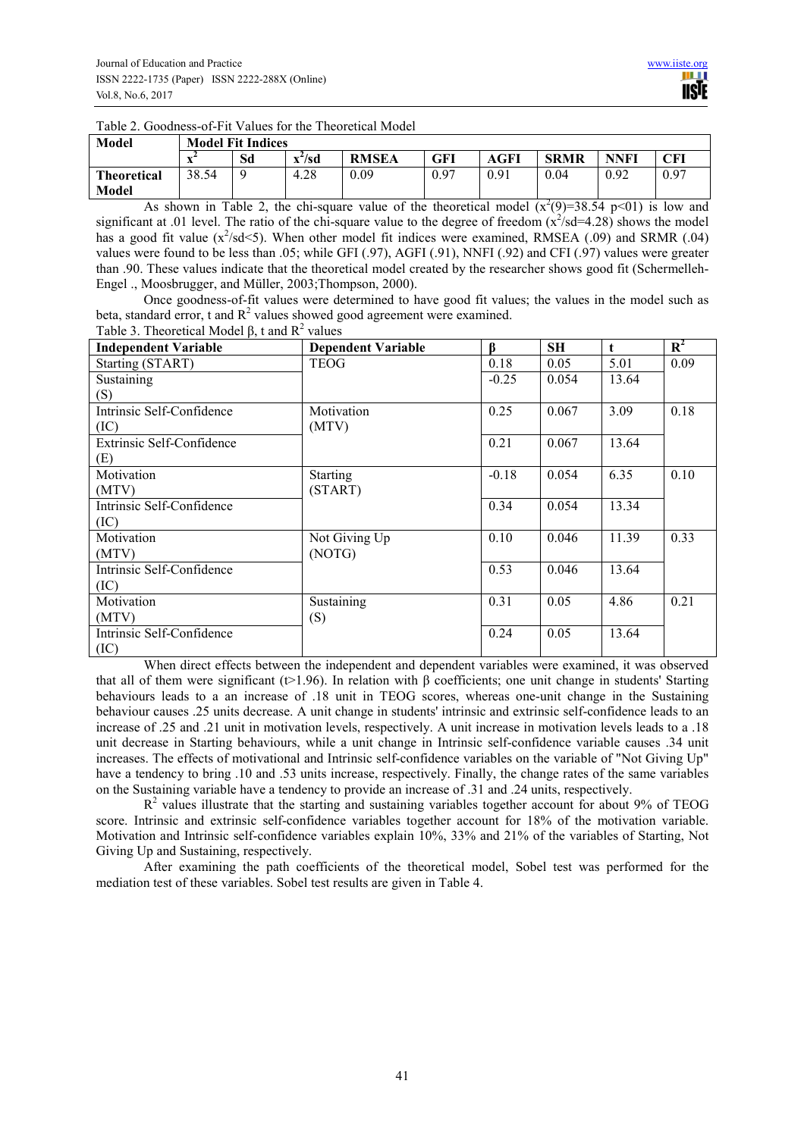Table 2. Goodness-of-Fit Values for the Theoretical Model

| Model              | <b>Model Fit Indices</b> |    |                            |              |      |      |             |             |      |
|--------------------|--------------------------|----|----------------------------|--------------|------|------|-------------|-------------|------|
|                    |                          | Sd | $\mathbf{x}^2/\mathbf{sd}$ | <b>RMSEA</b> | GFI  | AGFI | <b>SRMR</b> | <b>NNFI</b> | CFI  |
| <b>Theoretical</b> | 38.54                    | Q  | 4.28                       | 0.09         | 0.97 | 0.91 | 0.04        | 0.92        | 0.97 |
| Model              |                          |    |                            |              |      |      |             |             |      |

As shown in Table 2, the chi-square value of the theoretical model  $(x^2(9)=38.54 \text{ p} < 01)$  is low and significant at .01 level. The ratio of the chi-square value to the degree of freedom  $(x^2$ /sd=4.28) shows the model has a good fit value  $(x^2$ /sd<5). When other model fit indices were examined, RMSEA (.09) and SRMR (.04) values were found to be less than .05; while GFI (.97), AGFI (.91), NNFI (.92) and CFI (.97) values were greater than .90. These values indicate that the theoretical model created by the researcher shows good fit (Schermelleh-Engel ., Moosbrugger, and Müller, 2003;Thompson, 2000).

Once goodness-of-fit values were determined to have good fit values; the values in the model such as beta, standard error, t and  $R^2$  values showed good agreement were examined.

| Table 3. Theoretical Model $\beta$ , t and $R^2$ values |                           |         |           |              |                |
|---------------------------------------------------------|---------------------------|---------|-----------|--------------|----------------|
| <b>Independent Variable</b>                             | <b>Dependent Variable</b> | ß       | <b>SH</b> | $\mathbf{t}$ | $\mathbf{R}^2$ |
| Starting (START)                                        | <b>TEOG</b>               | 0.18    | 0.05      | 5.01         | 0.09           |
| Sustaining                                              |                           | $-0.25$ | 0.054     | 13.64        |                |
| (S)                                                     |                           |         |           |              |                |
| Intrinsic Self-Confidence                               | Motivation                | 0.25    | 0.067     | 3.09         | 0.18           |
| (IC)                                                    | (MTV)                     |         |           |              |                |
| Extrinsic Self-Confidence                               |                           | 0.21    | 0.067     | 13.64        |                |
| (E)                                                     |                           |         |           |              |                |
| Motivation                                              | <b>Starting</b>           | $-0.18$ | 0.054     | 6.35         | 0.10           |
| (MTV)                                                   | (START)                   |         |           |              |                |
| Intrinsic Self-Confidence                               |                           | 0.34    | 0.054     | 13.34        |                |
| (IC)                                                    |                           |         |           |              |                |
| Motivation                                              | Not Giving Up             | 0.10    | 0.046     | 11.39        | 0.33           |
| (MTV)                                                   | (NOTG)                    |         |           |              |                |
| Intrinsic Self-Confidence                               |                           | 0.53    | 0.046     | 13.64        |                |
| (IC)                                                    |                           |         |           |              |                |
| Motivation                                              | Sustaining                | 0.31    | 0.05      | 4.86         | 0.21           |
| (MTV)                                                   | (S)                       |         |           |              |                |
| Intrinsic Self-Confidence                               |                           | 0.24    | 0.05      | 13.64        |                |
| (IC)                                                    |                           |         |           |              |                |

When direct effects between the independent and dependent variables were examined, it was observed that all of them were significant (t>1.96). In relation with β coefficients; one unit change in students' Starting behaviours leads to a an increase of .18 unit in TEOG scores, whereas one-unit change in the Sustaining behaviour causes .25 units decrease. A unit change in students' intrinsic and extrinsic self-confidence leads to an increase of .25 and .21 unit in motivation levels, respectively. A unit increase in motivation levels leads to a .18 unit decrease in Starting behaviours, while a unit change in Intrinsic self-confidence variable causes .34 unit increases. The effects of motivational and Intrinsic self-confidence variables on the variable of "Not Giving Up" have a tendency to bring .10 and .53 units increase, respectively. Finally, the change rates of the same variables on the Sustaining variable have a tendency to provide an increase of .31 and .24 units, respectively.

 $R<sup>2</sup>$  values illustrate that the starting and sustaining variables together account for about 9% of TEOG score. Intrinsic and extrinsic self-confidence variables together account for 18% of the motivation variable. Motivation and Intrinsic self-confidence variables explain 10%, 33% and 21% of the variables of Starting, Not Giving Up and Sustaining, respectively.

After examining the path coefficients of the theoretical model, Sobel test was performed for the mediation test of these variables. Sobel test results are given in Table 4.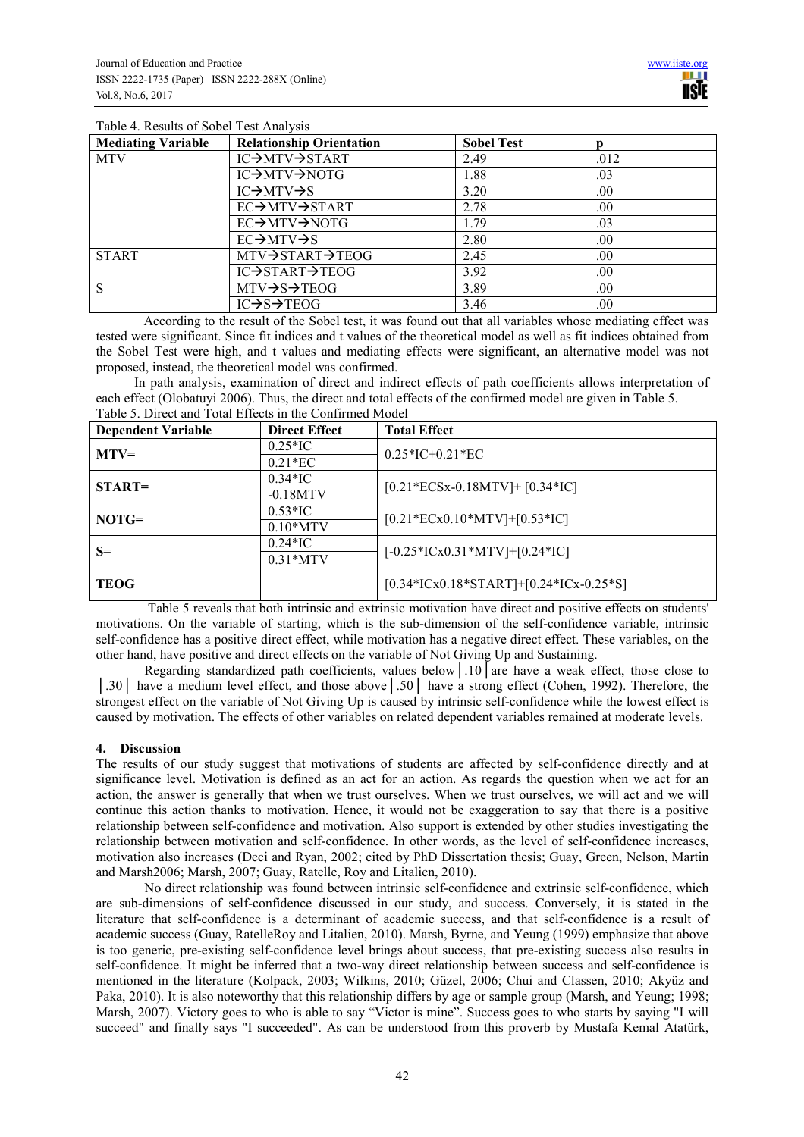| Tuble 1. Reputed of Bobert Test Think York |                                      |                   |      |  |  |
|--------------------------------------------|--------------------------------------|-------------------|------|--|--|
| <b>Mediating Variable</b>                  | <b>Relationship Orientation</b>      | <b>Sobel Test</b> |      |  |  |
| <b>MTV</b>                                 | IC→MTV→START                         | 2.49              | .012 |  |  |
|                                            | IC→MTV→NOTG                          | 1.88              | .03  |  |  |
|                                            | $IC \rightarrow MTV \rightarrow S$   | 3.20              | .00. |  |  |
|                                            | EC→MTV→START                         | 2.78              | .00. |  |  |
|                                            | EC→MTV→NOTG                          | 1.79              | .03  |  |  |
|                                            | $EC \rightarrow MTV \rightarrow S$   | 2.80              | .00. |  |  |
| <b>START</b>                               | MTV→START→TEOG                       | 2.45              | .00. |  |  |
|                                            | IC→START→TEOG                        | 3.92              | .00. |  |  |
| <sup>S</sup>                               | $MTV \rightarrow S \rightarrow TEOG$ | 3.89              | .00. |  |  |
|                                            | $IC \rightarrow S \rightarrow TEOG$  | 3.46              | .00. |  |  |

Table 4. Results of Sobel Test Analysis

According to the result of the Sobel test, it was found out that all variables whose mediating effect was tested were significant. Since fit indices and t values of the theoretical model as well as fit indices obtained from the Sobel Test were high, and t values and mediating effects were significant, an alternative model was not proposed, instead, the theoretical model was confirmed.

In path analysis, examination of direct and indirect effects of path coefficients allows interpretation of each effect (Olobatuyi 2006). Thus, the direct and total effects of the confirmed model are given in Table 5. Table 5. Direct and Total Effects in the Confirmed Model

| <b>Dependent Variable</b> | <b>Direct Effect</b> | <b>Total Effect</b>                      |
|---------------------------|----------------------|------------------------------------------|
|                           | $0.25*$ IC           |                                          |
| $MTV=$                    | $0.21*EC$            | $0.25*IC+0.21*EC$                        |
| $START=$                  | $0.34*$ IC           | $[0.21*ECSx-0.18MTV]+[0.34*IC]$          |
|                           | $-0.18MTV$           |                                          |
| $NOTG=$                   | $0.53*$ IC           | $[0.21*ECx0.10*MTV]+[0.53*IC]$           |
|                           | $0.10*MTV$           |                                          |
| $S=$                      | $0.24*$ IC           | $[-0.25*ICx0.31*MTV]+[0.24*IC]$          |
|                           | $0.31*MTV$           |                                          |
| <b>TEOG</b>               |                      | $[0.34*ICx0.18*START]+[0.24*ICx-0.25*S]$ |
|                           |                      |                                          |

 Table 5 reveals that both intrinsic and extrinsic motivation have direct and positive effects on students' motivations. On the variable of starting, which is the sub-dimension of the self-confidence variable, intrinsic self-confidence has a positive direct effect, while motivation has a negative direct effect. These variables, on the other hand, have positive and direct effects on the variable of Not Giving Up and Sustaining.

Regarding standardized path coefficients, values below│.10│are have a weak effect, those close to │.30│ have a medium level effect, and those above│.50│ have a strong effect (Cohen, 1992). Therefore, the strongest effect on the variable of Not Giving Up is caused by intrinsic self-confidence while the lowest effect is caused by motivation. The effects of other variables on related dependent variables remained at moderate levels.

# **4. Discussion**

The results of our study suggest that motivations of students are affected by self-confidence directly and at significance level. Motivation is defined as an act for an action. As regards the question when we act for an action, the answer is generally that when we trust ourselves. When we trust ourselves, we will act and we will continue this action thanks to motivation. Hence, it would not be exaggeration to say that there is a positive relationship between self-confidence and motivation. Also support is extended by other studies investigating the relationship between motivation and self-confidence. In other words, as the level of self-confidence increases, motivation also increases (Deci and Ryan, 2002; cited by PhD Dissertation thesis; Guay, Green, Nelson, Martin and Marsh2006; Marsh, 2007; Guay, Ratelle, Roy and Litalien, 2010).

No direct relationship was found between intrinsic self-confidence and extrinsic self-confidence, which are sub-dimensions of self-confidence discussed in our study, and success. Conversely, it is stated in the literature that self-confidence is a determinant of academic success, and that self-confidence is a result of academic success (Guay, RatelleRoy and Litalien, 2010). Marsh, Byrne, and Yeung (1999) emphasize that above is too generic, pre-existing self-confidence level brings about success, that pre-existing success also results in self-confidence. It might be inferred that a two-way direct relationship between success and self-confidence is mentioned in the literature (Kolpack, 2003; Wilkins, 2010; Güzel, 2006; Chui and Classen, 2010; Akyüz and Paka, 2010). It is also noteworthy that this relationship differs by age or sample group (Marsh, and Yeung; 1998; Marsh, 2007). Victory goes to who is able to say "Victor is mine". Success goes to who starts by saying "I will succeed" and finally says "I succeeded". As can be understood from this proverb by Mustafa Kemal Atatürk,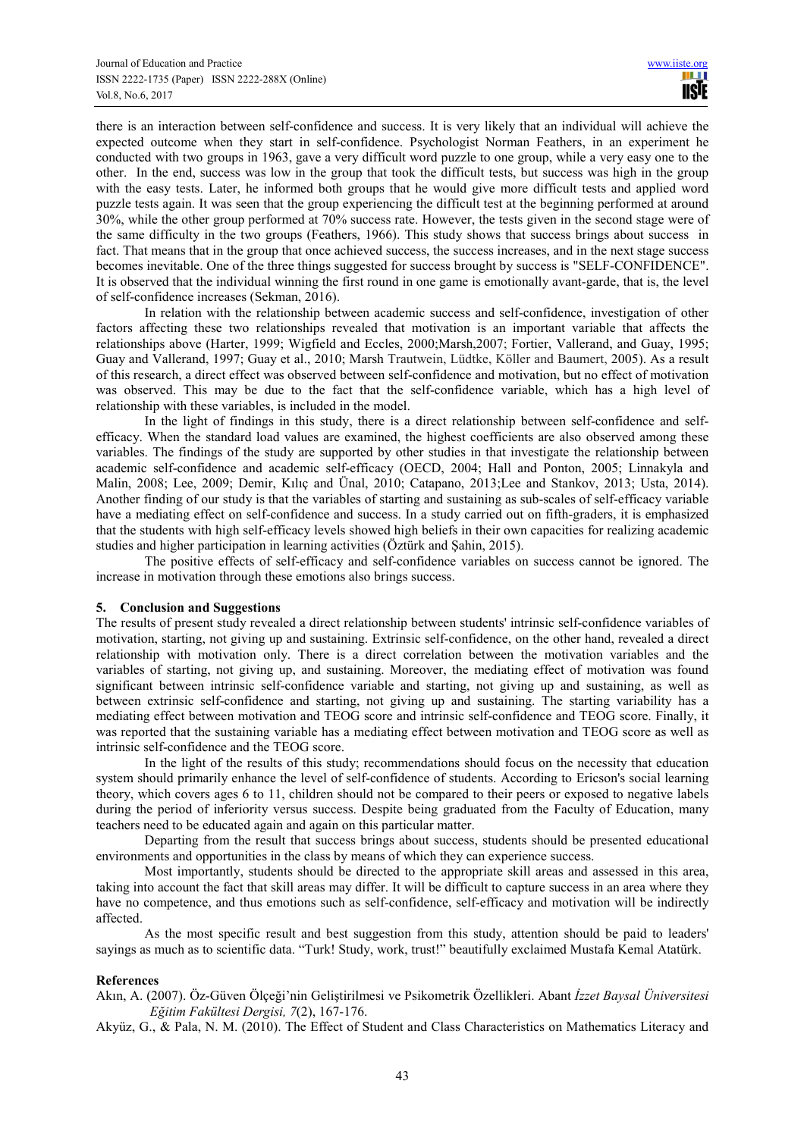there is an interaction between self-confidence and success. It is very likely that an individual will achieve the expected outcome when they start in self-confidence. Psychologist Norman Feathers, in an experiment he conducted with two groups in 1963, gave a very difficult word puzzle to one group, while a very easy one to the other. In the end, success was low in the group that took the difficult tests, but success was high in the group with the easy tests. Later, he informed both groups that he would give more difficult tests and applied word puzzle tests again. It was seen that the group experiencing the difficult test at the beginning performed at around 30%, while the other group performed at 70% success rate. However, the tests given in the second stage were of the same difficulty in the two groups (Feathers, 1966). This study shows that success brings about success in fact. That means that in the group that once achieved success, the success increases, and in the next stage success becomes inevitable. One of the three things suggested for success brought by success is "SELF-CONFIDENCE". It is observed that the individual winning the first round in one game is emotionally avant-garde, that is, the level of self-confidence increases (Sekman, 2016).

In relation with the relationship between academic success and self-confidence, investigation of other factors affecting these two relationships revealed that motivation is an important variable that affects the relationships above (Harter, 1999; Wigfield and Eccles, 2000;Marsh,2007; Fortier, Vallerand, and Guay, 1995; Guay and Vallerand, 1997; Guay et al., 2010; Marsh Trautwein, Lüdtke, Köller and Baumert, 2005). As a result of this research, a direct effect was observed between self-confidence and motivation, but no effect of motivation was observed. This may be due to the fact that the self-confidence variable, which has a high level of relationship with these variables, is included in the model.

In the light of findings in this study, there is a direct relationship between self-confidence and selfefficacy. When the standard load values are examined, the highest coefficients are also observed among these variables. The findings of the study are supported by other studies in that investigate the relationship between academic self-confidence and academic self-efficacy (OECD, 2004; Hall and Ponton, 2005; Linnakyla and Malin, 2008; Lee, 2009; Demir, Kılıç and Ünal, 2010; Catapano, 2013;Lee and Stankov, 2013; Usta, 2014). Another finding of our study is that the variables of starting and sustaining as sub-scales of self-efficacy variable have a mediating effect on self-confidence and success. In a study carried out on fifth-graders, it is emphasized that the students with high self-efficacy levels showed high beliefs in their own capacities for realizing academic studies and higher participation in learning activities (Öztürk and Şahin, 2015).

The positive effects of self-efficacy and self-confidence variables on success cannot be ignored. The increase in motivation through these emotions also brings success.

## **5. Conclusion and Suggestions**

The results of present study revealed a direct relationship between students' intrinsic self-confidence variables of motivation, starting, not giving up and sustaining. Extrinsic self-confidence, on the other hand, revealed a direct relationship with motivation only. There is a direct correlation between the motivation variables and the variables of starting, not giving up, and sustaining. Moreover, the mediating effect of motivation was found significant between intrinsic self-confidence variable and starting, not giving up and sustaining, as well as between extrinsic self-confidence and starting, not giving up and sustaining. The starting variability has a mediating effect between motivation and TEOG score and intrinsic self-confidence and TEOG score. Finally, it was reported that the sustaining variable has a mediating effect between motivation and TEOG score as well as intrinsic self-confidence and the TEOG score.

In the light of the results of this study; recommendations should focus on the necessity that education system should primarily enhance the level of self-confidence of students. According to Ericson's social learning theory, which covers ages 6 to 11, children should not be compared to their peers or exposed to negative labels during the period of inferiority versus success. Despite being graduated from the Faculty of Education, many teachers need to be educated again and again on this particular matter.

Departing from the result that success brings about success, students should be presented educational environments and opportunities in the class by means of which they can experience success.

Most importantly, students should be directed to the appropriate skill areas and assessed in this area, taking into account the fact that skill areas may differ. It will be difficult to capture success in an area where they have no competence, and thus emotions such as self-confidence, self-efficacy and motivation will be indirectly affected.

As the most specific result and best suggestion from this study, attention should be paid to leaders' sayings as much as to scientific data. "Turk! Study, work, trust!" beautifully exclaimed Mustafa Kemal Atatürk.

## **References**

Akın, A. (2007). Öz-Güven Ölçeği'nin Geliştirilmesi ve Psikometrik Özellikleri. Abant *İzzet Baysal Üniversitesi Eğitim Fakültesi Dergisi, 7*(2), 167-176.

Akyüz, G., & Pala, N. M. (2010). The Effect of Student and Class Characteristics on Mathematics Literacy and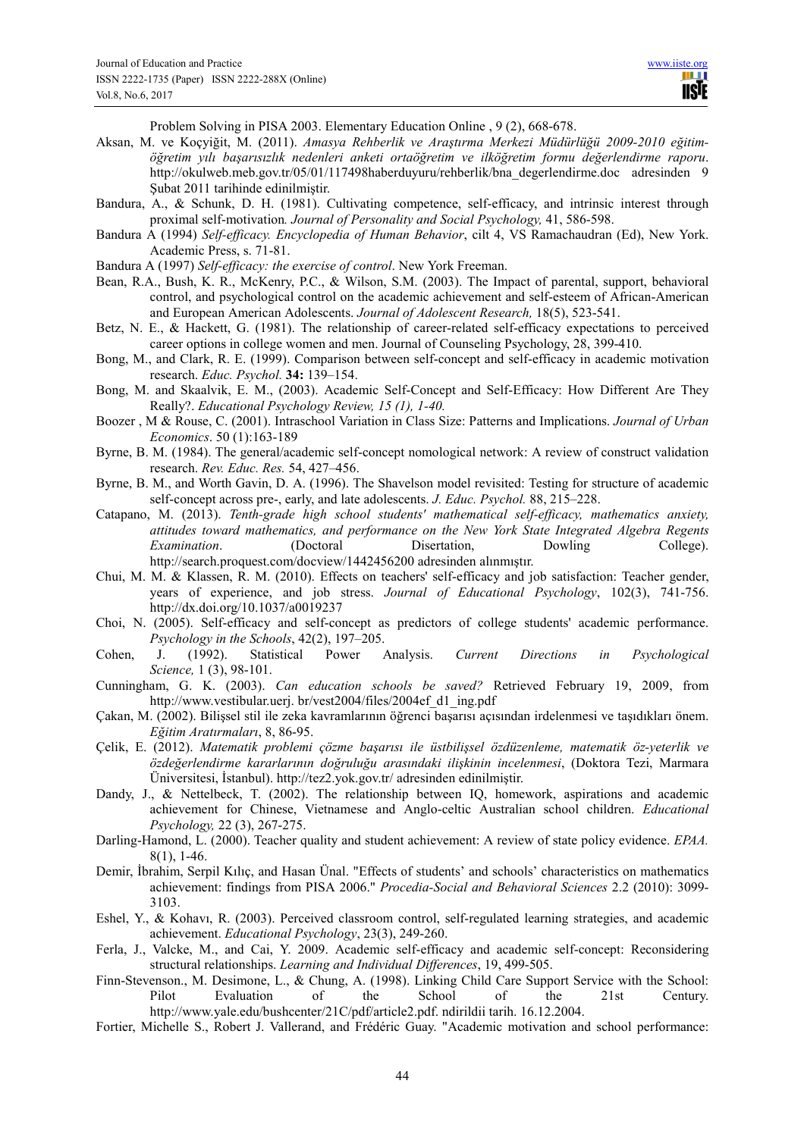Problem Solving in PISA 2003. Elementary Education Online , 9 (2), 668-678.

- Aksan, M. ve Koçyiğit, M. (2011). *Amasya Rehberlik ve Araştırma Merkezi Müdürlüğü 2009-2010 eğitimöğretim yılı başarısızlık nedenleri anketi ortaöğretim ve ilköğretim formu değerlendirme raporu*. http://okulweb.meb.gov.tr/05/01/117498haberduyuru/rehberlik/bna\_degerlendirme.doc adresinden 9 Şubat 2011 tarihinde edinilmiştir.
- Bandura, A., & Schunk, D. H. (1981). Cultivating competence, self-efficacy, and intrinsic interest through proximal self-motivation*. Journal of Personality and Social Psychology,* 41, 586-598.
- Bandura A (1994) *Self-efficacy. Encyclopedia of Human Behavior*, cilt 4, VS Ramachaudran (Ed), New York. Academic Press, s. 71-81.
- Bandura A (1997) *Self-efficacy: the exercise of control*. New York Freeman.
- Bean, R.A., Bush, K. R., McKenry, P.C., & Wilson, S.M. (2003). The Impact of parental, support, behavioral control, and psychological control on the academic achievement and self-esteem of African-American and European American Adolescents. *Journal of Adolescent Research,* 18(5), 523-541.
- Betz, N. E., & Hackett, G. (1981). The relationship of career-related self-efficacy expectations to perceived career options in college women and men. Journal of Counseling Psychology, 28, 399-410.
- Bong, M., and Clark, R. E. (1999). Comparison between self-concept and self-efficacy in academic motivation research. *Educ. Psychol.* **34:** 139–154.
- Bong, M. and Skaalvik, E. M., (2003). Academic Self-Concept and Self-Efficacy: How Different Are They Really?. *Educational Psychology Review, 15 (1), 1-40.*
- Boozer , M & Rouse, C. (2001). Intraschool Variation in Class Size: Patterns and Implications. *Journal of Urban Economics*. 50 (1):163-189
- Byrne, B. M. (1984). The general/academic self-concept nomological network: A review of construct validation research. *Rev. Educ. Res.* 54, 427–456.
- Byrne, B. M., and Worth Gavin, D. A. (1996). The Shavelson model revisited: Testing for structure of academic self-concept across pre-, early, and late adolescents. *J. Educ. Psychol.* 88, 215–228.
- Catapano, M. (2013). *Tenth-grade high school students' mathematical self-efficacy, mathematics anxiety, attitudes toward mathematics, and performance on the New York State Integrated Algebra Regents Examination*. (Doctoral Disertation, Dowling College). http://search.proquest.com/docview/1442456200 adresinden alınmıştır.
- Chui, M. M. & Klassen, R. M. (2010). Effects on teachers' self-efficacy and job satisfaction: Teacher gender, years of experience, and job stress. *Journal of Educational Psychology*, 102(3), 741-756. http://dx.doi.org/10.1037/a0019237
- Choi, N. (2005). Self-efficacy and self-concept as predictors of college students' academic performance. *Psychology in the Schools*, 42(2), 197–205.
- Cohen, J. (1992). Statistical Power Analysis. *Current Directions in Psychological Science,* 1 (3), 98-101.
- Cunningham, G. K. (2003). *Can education schools be saved?* Retrieved February 19, 2009, from http://www.vestibular.uerj. br/vest2004/files/2004ef\_d1\_ing.pdf
- Çakan, M. (2002). Bilişsel stil ile zeka kavramlarının öğrenci başarısı açısından irdelenmesi ve taşıdıkları önem. *Eğitim Aratırmaları*, 8, 86-95.
- Çelik, E. (2012). *Matematik problemi çözme başarısı ile üstbilişsel özdüzenleme, matematik öz-yeterlik ve özdeğerlendirme kararlarının doğruluğu arasındaki ilişkinin incelenmesi*, (Doktora Tezi, Marmara Üniversitesi, İstanbul). http://tez2.yok.gov.tr/ adresinden edinilmiştir.
- Dandy, J., & Nettelbeck, T. (2002). The relationship between IQ, homework, aspirations and academic achievement for Chinese, Vietnamese and Anglo-celtic Australian school children. *Educational Psychology,* 22 (3), 267-275.
- Darling-Hamond, L. (2000). Teacher quality and student achievement: A review of state policy evidence. *EPAA.*  8(1), 1-46.
- Demir, İbrahim, Serpil Kılıç, and Hasan Ünal. "Effects of students' and schools' characteristics on mathematics achievement: findings from PISA 2006." *Procedia-Social and Behavioral Sciences* 2.2 (2010): 3099- 3103.
- Eshel, Y., & Kohavı, R. (2003). Perceived classroom control, self-regulated learning strategies, and academic achievement. *Educational Psychology*, 23(3), 249-260.
- Ferla, J., Valcke, M., and Cai, Y. 2009. Academic self-efficacy and academic self-concept: Reconsidering structural relationships. *Learning and Individual Differences*, 19, 499-505.
- Finn-Stevenson., M. Desimone, L., & Chung, A. (1998). Linking Child Care Support Service with the School: Pilot Evaluation of the School of the 21st Century. http://www.yale.edu/bushcenter/21C/pdf/article2.pdf. ndirildii tarih. 16.12.2004.
- Fortier, Michelle S., Robert J. Vallerand, and Frédéric Guay. "Academic motivation and school performance: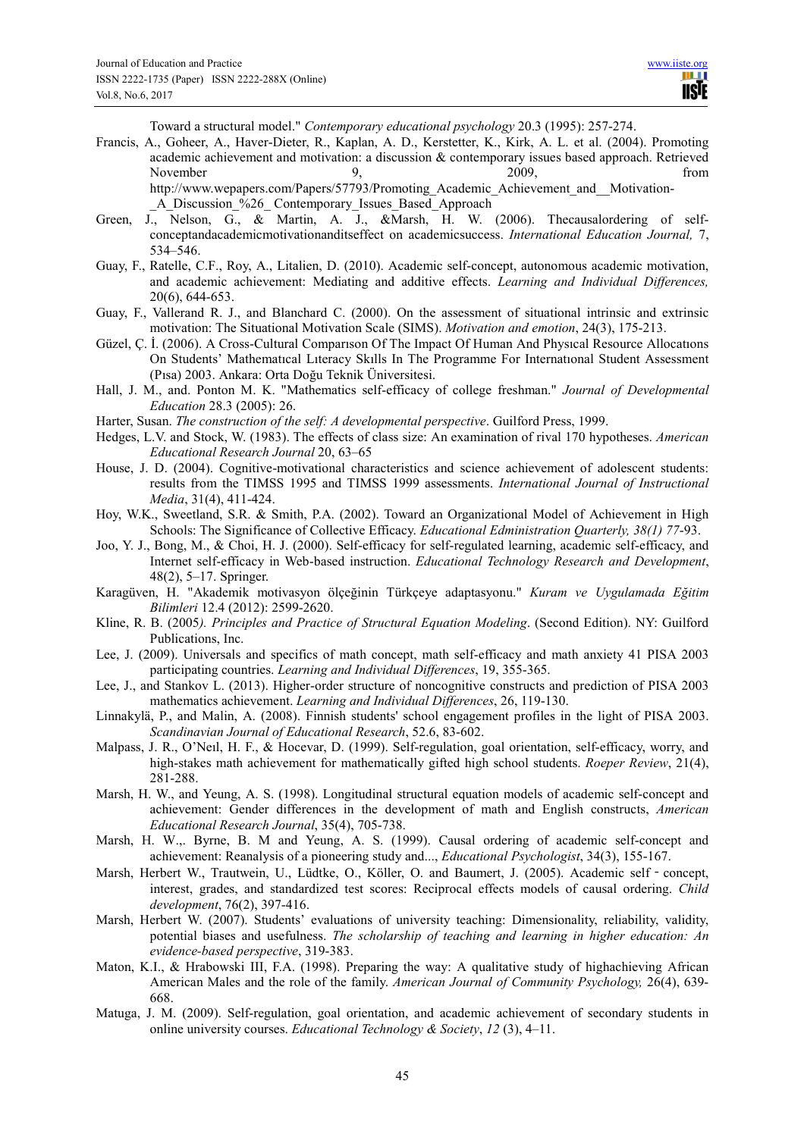Toward a structural model." *Contemporary educational psychology* 20.3 (1995): 257-274.

Francis, A., Goheer, A., Haver-Dieter, R., Kaplan, A. D., Kerstetter, K., Kirk, A. L. et al. (2004). Promoting academic achievement and motivation: a discussion & contemporary issues based approach. Retrieved November 9, 2009, from http://www.wepapers.com/Papers/57793/Promoting\_Academic\_Achievement\_and\_\_Motivation-

- Green, J., Nelson, G., & Martin, A. J., &Marsh, H. W. (2006). Thecausalordering of selfconceptandacademicmotivationanditseffect on academicsuccess. *International Education Journal,* 7, 534–546.
- Guay, F., Ratelle, C.F., Roy, A., Litalien, D. (2010). Academic self-concept, autonomous academic motivation, and academic achievement: Mediating and additive effects. *Learning and Individual Differences,* 20(6), 644-653.
- Guay, F., Vallerand R. J., and Blanchard C. (2000). On the assessment of situational intrinsic and extrinsic motivation: The Situational Motivation Scale (SIMS). *Motivation and emotion*, 24(3), 175-213.
- Güzel, Ç. İ. (2006). A Cross-Cultural Comparıson Of The Impact Of Human And Physıcal Resource Allocatıons On Students' Mathematıcal Lıteracy Skılls In The Programme For Internatıonal Student Assessment (Pısa) 2003. Ankara: Orta Doğu Teknik Üniversitesi.
- Hall, J. M., and. Ponton M. K. "Mathematics self-efficacy of college freshman." *Journal of Developmental Education* 28.3 (2005): 26.
- Harter, Susan. *The construction of the self: A developmental perspective*. Guilford Press, 1999.
- Hedges, L.V. and Stock, W. (1983). The effects of class size: An examination of rival 170 hypotheses. *American Educational Research Journal* 20, 63–65
- House, J. D. (2004). Cognitive-motivational characteristics and science achievement of adolescent students: results from the TIMSS 1995 and TIMSS 1999 assessments. *International Journal of Instructional Media*, 31(4), 411-424.
- Hoy, W.K., Sweetland, S.R. & Smith, P.A. (2002). Toward an Organizational Model of Achievement in High Schools: The Significance of Collective Efficacy. *Educational Edministration Quarterly, 38(1) 77*-93.
- Joo, Y. J., Bong, M., & Choi, H. J. (2000). Self-efficacy for self-regulated learning, academic self-efficacy, and Internet self-efficacy in Web-based instruction. *Educational Technology Research and Development*, 48(2), 5–17. Springer.
- Karagüven, H. "Akademik motivasyon ölçeğinin Türkçeye adaptasyonu." *Kuram ve Uygulamada Eğitim Bilimleri* 12.4 (2012): 2599-2620.
- Kline, R. B. (2005*). Principles and Practice of Structural Equation Modeling*. (Second Edition). NY: Guilford Publications, Inc.
- Lee, J. (2009). Universals and specifics of math concept, math self-efficacy and math anxiety 41 PISA 2003 participating countries. *Learning and Individual Differences*, 19, 355-365.
- Lee, J., and Stankov L. (2013). Higher-order structure of noncognitive constructs and prediction of PISA 2003 mathematics achievement. *Learning and Individual Differences*, 26, 119-130.
- Linnakylä, P., and Malin, A. (2008). Finnish students' school engagement profiles in the light of PISA 2003. *Scandinavian Journal of Educational Research*, 52.6, 83-602.
- Malpass, J. R., O'Neıl, H. F., & Hocevar, D. (1999). Self-regulation, goal orientation, self-efficacy, worry, and high-stakes math achievement for mathematically gifted high school students. *Roeper Review*, 21(4), 281-288.
- Marsh, H. W., and Yeung, A. S. (1998). Longitudinal structural equation models of academic self-concept and achievement: Gender differences in the development of math and English constructs, *American Educational Research Journal*, 35(4), 705-738.
- Marsh, H. W.,. Byrne, B. M and Yeung, A. S. (1999). Causal ordering of academic self-concept and achievement: Reanalysis of a pioneering study and..., *Educational Psychologist*, 34(3), 155-167.
- Marsh, Herbert W., Trautwein, U., Lüdtke, O., Köller, O. and Baumert, J. (2005). Academic self concept, interest, grades, and standardized test scores: Reciprocal effects models of causal ordering. *Child development*, 76(2), 397-416.
- Marsh, Herbert W. (2007). Students' evaluations of university teaching: Dimensionality, reliability, validity, potential biases and usefulness. *The scholarship of teaching and learning in higher education: An evidence-based perspective*, 319-383.
- Maton, K.I., & Hrabowski III, F.A. (1998). Preparing the way: A qualitative study of highachieving African American Males and the role of the family. *American Journal of Community Psychology,* 26(4), 639- 668.
- Matuga, J. M. (2009). Self-regulation, goal orientation, and academic achievement of secondary students in online university courses. *Educational Technology & Society*, *12* (3), 4–11.

\_A\_Discussion\_%26\_ Contemporary\_Issues\_Based\_Approach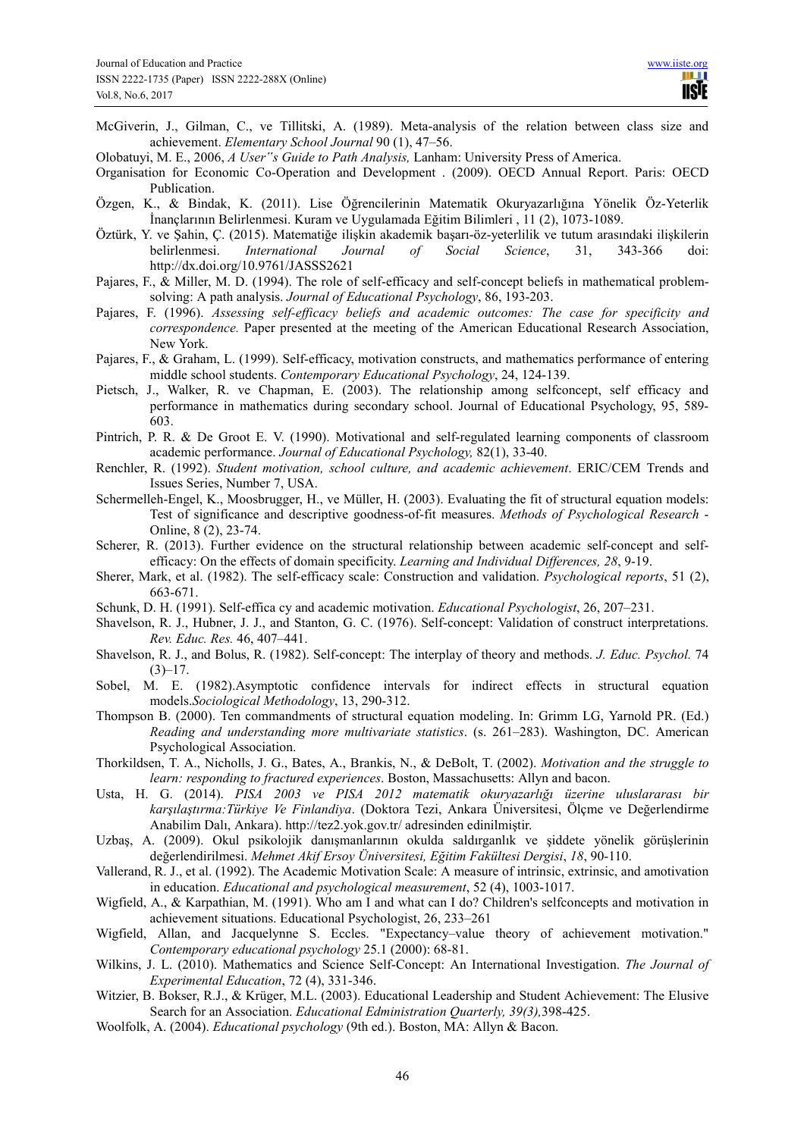McGiverin, J., Gilman, C., ve Tillitski, A. (1989). Meta-analysis of the relation between class size and achievement. *Elementary School Journal* 90 (1), 47–56.

Olobatuyi, M. E., 2006, *A User"s Guide to Path Analysis,* Lanham: University Press of America.

Organisation for Economic Co-Operation and Development . (2009). OECD Annual Report. Paris: OECD Publication.

- Özgen, K., & Bindak, K. (2011). Lise Öğrencilerinin Matematik Okuryazarlığına Yönelik Öz-Yeterlik İnançlarının Belirlenmesi. Kuram ve Uygulamada Eğitim Bilimleri , 11 (2), 1073-1089.
- Öztürk, Y. ve Şahin, Ç. (2015). Matematiğe ilişkin akademik başarı-öz-yeterlilik ve tutum arasındaki ilişkilerin belirlenmesi. *International Journal of Social Science*, 31, 343-366 doi: http://dx.doi.org/10.9761/JASSS2621
- Pajares, F., & Miller, M. D. (1994). The role of self-efficacy and self-concept beliefs in mathematical problemsolving: A path analysis. *Journal of Educational Psychology*, 86, 193-203.
- Pajares, F. (1996). *Assessing self-efficacy beliefs and academic outcomes: The case for specificity and correspondence.* Paper presented at the meeting of the American Educational Research Association, New York.
- Pajares, F., & Graham, L. (1999). Self-efficacy, motivation constructs, and mathematics performance of entering middle school students. *Contemporary Educational Psychology*, 24, 124-139.
- Pietsch, J., Walker, R. ve Chapman, E. (2003). The relationship among selfconcept, self efficacy and performance in mathematics during secondary school. Journal of Educational Psychology, 95, 589- 603.
- Pintrich, P. R. & De Groot E. V. (1990). Motivational and self-regulated learning components of classroom academic performance. *Journal of Educational Psychology,* 82(1), 33-40.
- Renchler, R. (1992). *Student motivation, school culture, and academic achievement*. ERIC/CEM Trends and Issues Series, Number 7, USA.
- Schermelleh-Engel, K., Moosbrugger, H., ve Müller, H. (2003). Evaluating the fit of structural equation models: Test of significance and descriptive goodness-of-fit measures. *Methods of Psychological Research* - Online, 8 (2), 23-74.
- Scherer, R. (2013). Further evidence on the structural relationship between academic self-concept and selfefficacy: On the effects of domain specificity. *Learning and Individual Differences, 28*, 9-19.
- Sherer, Mark, et al. (1982). The self-efficacy scale: Construction and validation. *Psychological reports*, 51 (2), 663-671.
- Schunk, D. H. (1991). Self-effica cy and academic motivation. *Educational Psychologist*, 26, 207–231.
- Shavelson, R. J., Hubner, J. J., and Stanton, G. C. (1976). Self-concept: Validation of construct interpretations. *Rev. Educ. Res.* 46, 407–441.
- Shavelson, R. J., and Bolus, R. (1982). Self-concept: The interplay of theory and methods. *J. Educ. Psychol.* 74  $(3)-17.$
- Sobel, M. E. (1982).Asymptotic confidence intervals for indirect effects in structural equation models.*Sociological Methodology*, 13, 290-312.
- Thompson B. (2000). Ten commandments of structural equation modeling. In: Grimm LG, Yarnold PR. (Ed.) *Reading and understanding more multivariate statistics*. (s. 261–283). Washington, DC. American Psychological Association.
- Thorkildsen, T. A., Nicholls, J. G., Bates, A., Brankis, N., & DeBolt, T. (2002). *Motivation and the struggle to learn: responding to fractured experiences*. Boston, Massachusetts: Allyn and bacon.
- Usta, H. G. (2014). *PISA 2003 ve PISA 2012 matematik okuryazarlığı üzerine uluslararası bir karşılaştırma:Türkiye Ve Finlandiya*. (Doktora Tezi, Ankara Üniversitesi, Ölçme ve Değerlendirme Anabilim Dalı, Ankara). http://tez2.yok.gov.tr/ adresinden edinilmiştir.
- Uzbaş, A. (2009). Okul psikolojik danışmanlarının okulda saldırganlık ve şiddete yönelik görüşlerinin değerlendirilmesi. *Mehmet Akif Ersoy Üniversitesi, Eğitim Fakültesi Dergisi*, *18*, 90-110.
- Vallerand, R. J., et al. (1992). The Academic Motivation Scale: A measure of intrinsic, extrinsic, and amotivation in education. *Educational and psychological measurement*, 52 (4), 1003-1017.
- Wigfield, A., & Karpathian, M. (1991). Who am I and what can I do? Children's selfconcepts and motivation in achievement situations. Educational Psychologist, 26, 233–261
- Wigfield, Allan, and Jacquelynne S. Eccles. "Expectancy–value theory of achievement motivation." *Contemporary educational psychology* 25.1 (2000): 68-81.
- Wilkins, J. L. (2010). Mathematics and Science Self-Concept: An International Investigation. *The Journal of Experimental Education*, 72 (4), 331-346.
- Witzier, B. Bokser, R.J., & Krüger, M.L. (2003). Educational Leadership and Student Achievement: The Elusive Search for an Association. *Educational Edministration Quarterly, 39(3),*398-425.
- Woolfolk, A. (2004). *Educational psychology* (9th ed.). Boston, MA: Allyn & Bacon.